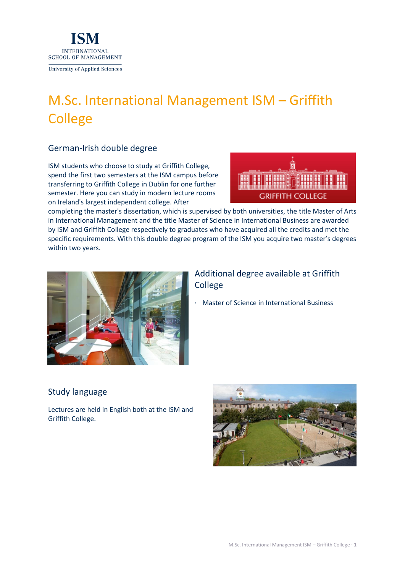

# M.Sc. International Management ISM – Griffith **College**

## German-Irish double degree

ISM students who choose to study at Griffith College, spend the first two semesters at the ISM campus before transferring to Griffith College in Dublin for one further semester. Here you can study in modern lecture rooms on Ireland's largest independent college. After



completing the master's dissertation, which is supervised by both universities, the title Master of Arts in International Management and the title Master of Science in International Business are awarded by ISM and Griffith College respectively to graduates who have acquired all the credits and met the specific requirements. With this double degree program of the ISM you acquire two master's degrees within two years.



# Additional degree available at Griffith College

· Master of Science in International Business

# Study language

Lectures are held in English both at the ISM and Griffith College.